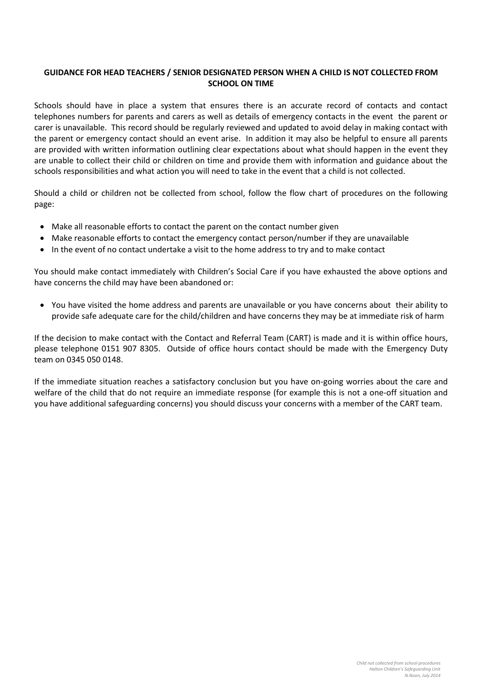## **GUIDANCE FOR HEAD TEACHERS / SENIOR DESIGNATED PERSON WHEN A CHILD IS NOT COLLECTED FROM SCHOOL ON TIME**

Schools should have in place a system that ensures there is an accurate record of contacts and contact telephones numbers for parents and carers as well as details of emergency contacts in the event the parent or carer is unavailable. This record should be regularly reviewed and updated to avoid delay in making contact with the parent or emergency contact should an event arise. In addition it may also be helpful to ensure all parents are provided with written information outlining clear expectations about what should happen in the event they are unable to collect their child or children on time and provide them with information and guidance about the schools responsibilities and what action you will need to take in the event that a child is not collected.

Should a child or children not be collected from school, follow the flow chart of procedures on the following page:

- Make all reasonable efforts to contact the parent on the contact number given
- Make reasonable efforts to contact the emergency contact person/number if they are unavailable
- In the event of no contact undertake a visit to the home address to try and to make contact

You should make contact immediately with Children's Social Care if you have exhausted the above options and have concerns the child may have been abandoned or:

 You have visited the home address and parents are unavailable or you have concerns about their ability to provide safe adequate care for the child/children and have concerns they may be at immediate risk of harm

If the decision to make contact with the Contact and Referral Team (CART) is made and it is within office hours, please telephone 0151 907 8305. Outside of office hours contact should be made with the Emergency Duty team on 0345 050 0148.

If the immediate situation reaches a satisfactory conclusion but you have on-going worries about the care and welfare of the child that do not require an immediate response (for example this is not a one-off situation and you have additional safeguarding concerns) you should discuss your concerns with a member of the CART team.